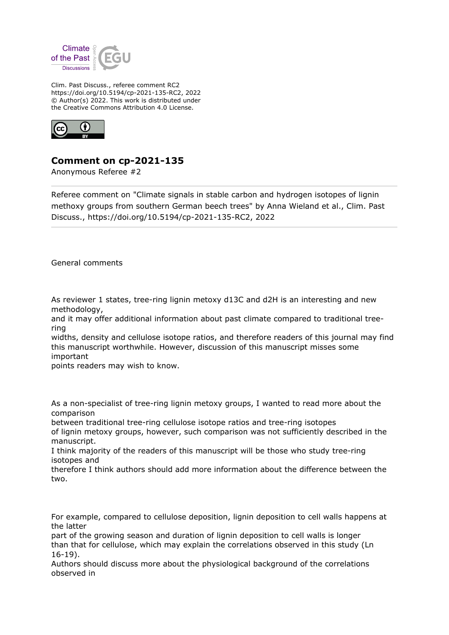

Clim. Past Discuss., referee comment RC2 https://doi.org/10.5194/cp-2021-135-RC2, 2022 © Author(s) 2022. This work is distributed under the Creative Commons Attribution 4.0 License.



## **Comment on cp-2021-135**

Anonymous Referee #2

Referee comment on "Climate signals in stable carbon and hydrogen isotopes of lignin methoxy groups from southern German beech trees" by Anna Wieland et al., Clim. Past Discuss., https://doi.org/10.5194/cp-2021-135-RC2, 2022

General comments

As reviewer 1 states, tree-ring lignin metoxy d13C and d2H is an interesting and new methodology,

and it may offer additional information about past climate compared to traditional treering

widths, density and cellulose isotope ratios, and therefore readers of this journal may find this manuscript worthwhile. However, discussion of this manuscript misses some important

points readers may wish to know.

As a non-specialist of tree-ring lignin metoxy groups, I wanted to read more about the comparison

between traditional tree-ring cellulose isotope ratios and tree-ring isotopes

of lignin metoxy groups, however, such comparison was not sufficiently described in the manuscript.

I think majority of the readers of this manuscript will be those who study tree-ring isotopes and

therefore I think authors should add more information about the difference between the two.

For example, compared to cellulose deposition, lignin deposition to cell walls happens at the latter

part of the growing season and duration of lignin deposition to cell walls is longer than that for cellulose, which may explain the correlations observed in this study (Ln 16-19).

Authors should discuss more about the physiological background of the correlations observed in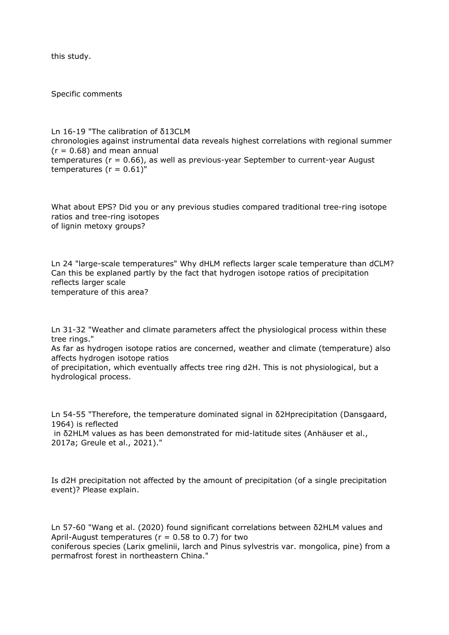this study.

Specific comments

Ln 16-19 "The calibration of δ13CLM chronologies against instrumental data reveals highest correlations with regional summer  $(r = 0.68)$  and mean annual temperatures ( $r = 0.66$ ), as well as previous-year September to current-year August temperatures ( $r = 0.61$ )"

What about EPS? Did you or any previous studies compared traditional tree-ring isotope ratios and tree-ring isotopes of lignin metoxy groups?

Ln 24 "large-scale temperatures" Why dHLM reflects larger scale temperature than dCLM? Can this be explaned partly by the fact that hydrogen isotope ratios of precipitation reflects larger scale temperature of this area?

Ln 31-32 "Weather and climate parameters affect the physiological process within these tree rings."

As far as hydrogen isotope ratios are concerned, weather and climate (temperature) also affects hydrogen isotope ratios

of precipitation, which eventually affects tree ring d2H. This is not physiological, but a hydrological process.

Ln 54-55 "Therefore, the temperature dominated signal in δ2Hprecipitation (Dansgaard, 1964) is reflected

 in δ2HLM values as has been demonstrated for mid-latitude sites (Anhäuser et al., 2017a; Greule et al., 2021)."

Is d2H precipitation not affected by the amount of precipitation (of a single precipitation event)? Please explain.

Ln 57-60 "Wang et al. (2020) found significant correlations between δ2HLM values and April-August temperatures ( $r = 0.58$  to 0.7) for two coniferous species (Larix gmelinii, larch and Pinus sylvestris var. mongolica, pine) from a permafrost forest in northeastern China."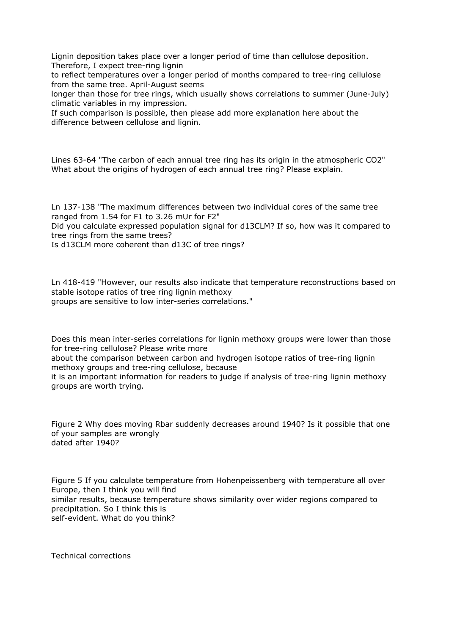Lignin deposition takes place over a longer period of time than cellulose deposition. Therefore, I expect tree-ring lignin

to reflect temperatures over a longer period of months compared to tree-ring cellulose from the same tree. April-August seems

longer than those for tree rings, which usually shows correlations to summer (June-July) climatic variables in my impression.

If such comparison is possible, then please add more explanation here about the difference between cellulose and lignin.

Lines 63-64 "The carbon of each annual tree ring has its origin in the atmospheric CO2" What about the origins of hydrogen of each annual tree ring? Please explain.

Ln 137-138 "The maximum differences between two individual cores of the same tree ranged from 1.54 for F1 to 3.26 mUr for F2"

Did you calculate expressed population signal for d13CLM? If so, how was it compared to tree rings from the same trees?

Is d13CLM more coherent than d13C of tree rings?

Ln 418-419 "However, our results also indicate that temperature reconstructions based on stable isotope ratios of tree ring lignin methoxy groups are sensitive to low inter-series correlations."

Does this mean inter-series correlations for lignin methoxy groups were lower than those for tree-ring cellulose? Please write more

about the comparison between carbon and hydrogen isotope ratios of tree-ring lignin methoxy groups and tree-ring cellulose, because

it is an important information for readers to judge if analysis of tree-ring lignin methoxy groups are worth trying.

Figure 2 Why does moving Rbar suddenly decreases around 1940? Is it possible that one of your samples are wrongly dated after 1940?

Figure 5 If you calculate temperature from Hohenpeissenberg with temperature all over Europe, then I think you will find similar results, because temperature shows similarity over wider regions compared to precipitation. So I think this is self-evident. What do you think?

Technical corrections